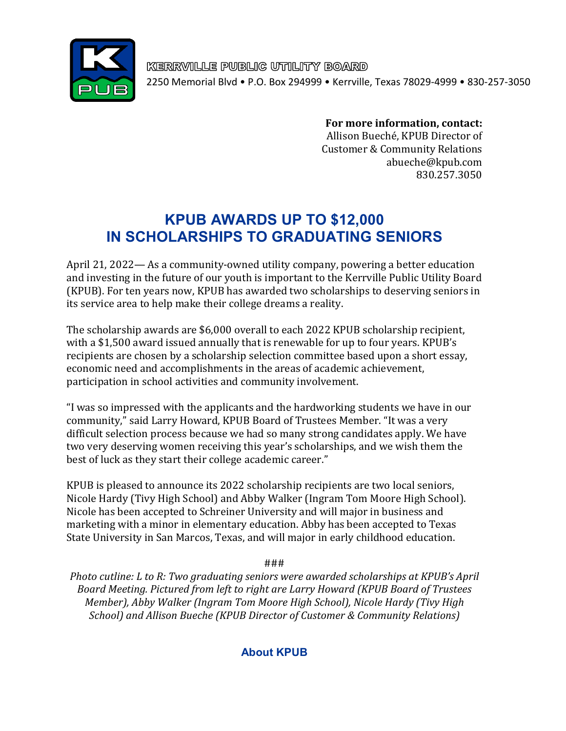

KERRVILLE PUBLIC UTILITY BOARD 2250 Memorial Blvd • P.O. Box 294999 • Kerrville, Texas 78029-4999 • 830-257-3050

**For more information, contact:** 

 Allison Bueché, KPUB Director of Customer & Community Relations abueche@kpub.com 830.257.3050

## **KPUB AWARDS UP TO \$12,000 IN SCHOLARSHIPS TO GRADUATING SENIORS**

April 21, 2022— As a community-owned utility company, powering a better education and investing in the future of our youth is important to the Kerrville Public Utility Board (KPUB). For ten years now, KPUB has awarded two scholarships to deserving seniors in its service area to help make their college dreams a reality.

The scholarship awards are \$6,000 overall to each 2022 KPUB scholarship recipient, with a \$1,500 award issued annually that is renewable for up to four years. KPUB's recipients are chosen by a scholarship selection committee based upon a short essay, economic need and accomplishments in the areas of academic achievement, participation in school activities and community involvement.

"I was so impressed with the applicants and the hardworking students we have in our community," said Larry Howard, KPUB Board of Trustees Member. "It was a very difficult selection process because we had so many strong candidates apply. We have two very deserving women receiving this year's scholarships, and we wish them the best of luck as they start their college academic career."

KPUB is pleased to announce its 2022 scholarship recipients are two local seniors, Nicole Hardy (Tivy High School) and Abby Walker (Ingram Tom Moore High School). Nicole has been accepted to Schreiner University and will major in business and marketing with a minor in elementary education. Abby has been accepted to Texas State University in San Marcos, Texas, and will major in early childhood education.

###

*Photo cutline: L to R: Two graduating seniors were awarded scholarships at KPUB's April Board Meeting. Pictured from left to right are Larry Howard (KPUB Board of Trustees Member), Abby Walker (Ingram Tom Moore High School), Nicole Hardy (Tivy High School) and Allison Bueche (KPUB Director of Customer & Community Relations)*

## **About KPUB**